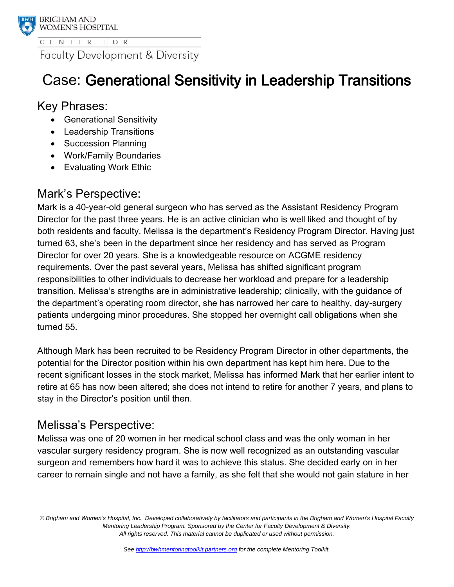

**Faculty Development & Diversity** 

# Case: Generational Sensitivity in Leadership Transitions

## Key Phrases:

- Generational Sensitivity
- Leadership Transitions
- Succession Planning
- Work/Family Boundaries
- Evaluating Work Ethic

## Mark's Perspective:

Mark is a 40-year-old general surgeon who has served as the Assistant Residency Program Director for the past three years. He is an active clinician who is well liked and thought of by both residents and faculty. Melissa is the department's Residency Program Director. Having just turned 63, she's been in the department since her residency and has served as Program Director for over 20 years. She is a knowledgeable resource on ACGME residency requirements. Over the past several years, Melissa has shifted significant program responsibilities to other individuals to decrease her workload and prepare for a leadership transition. Melissa's strengths are in administrative leadership; clinically, with the guidance of the department's operating room director, she has narrowed her care to healthy, day-surgery patients undergoing minor procedures. She stopped her overnight call obligations when she turned 55.

Although Mark has been recruited to be Residency Program Director in other departments, the potential for the Director position within his own department has kept him here. Due to the recent significant losses in the stock market, Melissa has informed Mark that her earlier intent to retire at 65 has now been altered; she does not intend to retire for another 7 years, and plans to stay in the Director's position until then.

# Melissa's Perspective:

Melissa was one of 20 women in her medical school class and was the only woman in her vascular surgery residency program. She is now well recognized as an outstanding vascular surgeon and remembers how hard it was to achieve this status. She decided early on in her career to remain single and not have a family, as she felt that she would not gain stature in her

*© Brigham and Women's Hospital, Inc. Developed collaboratively by facilitators and participants in the Brigham and Women's Hospital Faculty Mentoring Leadership Program. Sponsored by the Center for Faculty Development & Diversity. All rights reserved. This material cannot be duplicated or used without permission.*